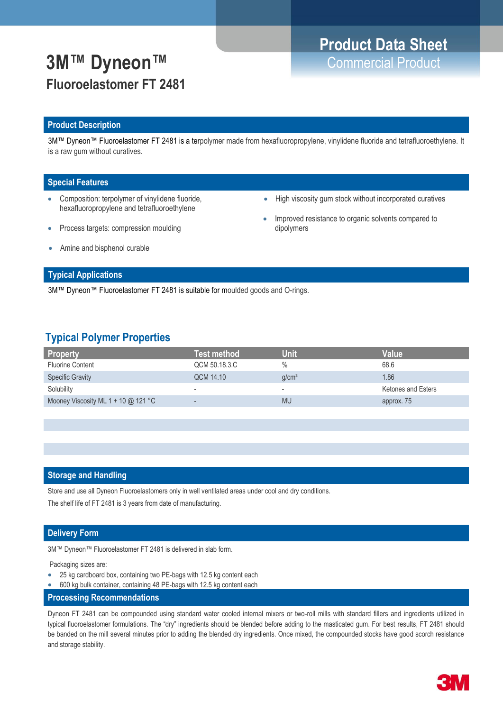## **3M™ Dyneon™** Commercial Product **Fluoroelastomer FT 2481**

## **Product Description**

3M™ Dyneon™ Fluoroelastomer FT 2481 is a terpolymer made from hexafluoropropylene, vinylidene fluoride and tetrafluoroethylene. It is a raw gum without curatives.

## **Special Features**

- Composition: terpolymer of vinylidene fluoride, hexafluoropropylene and tetrafluoroethylene
- Process targets: compression moulding
- High viscosity gum stock without incorporated curatives
- Improved resistance to organic solvents compared to dipolymers

Amine and bisphenol curable

## **Typical Applications**

3M™ Dyneon™ Fluoroelastomer FT 2481 is suitable for moulded goods and O-rings.

## **Typical Polymer Properties**

| <b>Test method</b>       | Unif                     | Value              |
|--------------------------|--------------------------|--------------------|
| QCM 50.18.3.C            | $\%$                     | 68.6               |
| QCM 14.10                | q/cm <sup>3</sup>        | 1.86               |
| $\overline{\phantom{a}}$ | $\overline{\phantom{a}}$ | Ketones and Esters |
| $\qquad \qquad$          | <b>MU</b>                | approx. 75         |
|                          |                          |                    |

### **Storage and Handling**

Store and use all Dyneon Fluoroelastomers only in well ventilated areas under cool and dry conditions.

The shelf life of FT 2481 is 3 years from date of manufacturing.

## **Delivery Form**

3M™ Dyneon™ Fluoroelastomer FT 2481 is delivered in slab form.

Packaging sizes are:

- 25 kg cardboard box, containing two PE-bags with 12.5 kg content each
- 600 kg bulk container, containing 48 PE-bags with 12.5 kg content each
- **Processing Recommendations**

Dyneon FT 2481 can be compounded using standard water cooled internal mixers or two-roll mills with standard fillers and ingredients utilized in typical fluoroelastomer formulations. The "dry" ingredients should be blended before adding to the masticated gum. For best results, FT 2481 should be banded on the mill several minutes prior to adding the blended dry ingredients. Once mixed, the compounded stocks have good scorch resistance and storage stability.

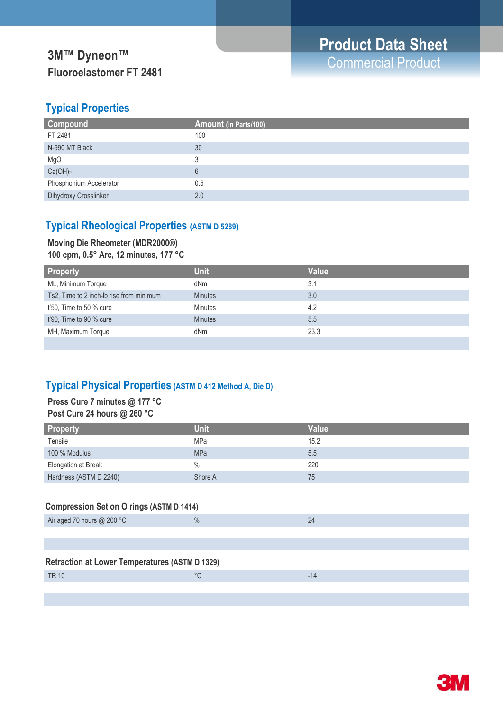# **Fluoroelastomer FT 2481**

## **Typical Properties**

| Compound                | Amount (in Parts/100) |
|-------------------------|-----------------------|
| FT 2481                 | 100                   |
| N-990 MT Black          | 30                    |
| MgO                     |                       |
| Ca(OH) <sub>2</sub>     | 6                     |
| Phosphonium Accelerator | 0.5                   |
| Dihydroxy Crosslinker   | 2.0                   |

## **Typical Rheological Properties (ASTM D 5289)**

## **Moving Die Rheometer (MDR2000®)**

**100 cpm, 0.5° Arc, 12 minutes, 177 °C**

| <b>Property</b>                          | <b>Unit</b>    | <b>Value</b> |
|------------------------------------------|----------------|--------------|
| ML, Minimum Torque                       | dNm            | 3.1          |
| Ts2, Time to 2 inch-Ib rise from minimum | <b>Minutes</b> | 3.0          |
| t'50, Time to 50 % cure                  | <b>Minutes</b> | 4.2          |
| t'90, Time to 90 % cure                  | <b>Minutes</b> | 5.5          |
| MH, Maximum Torque                       | dNm            | 23.3         |
|                                          |                |              |

## **Typical Physical Properties (ASTM D 412 Method A, Die D)**

## **Press Cure 7 minutes @ 177 °C Post Cure 24 hours @ 260 °C**

| <b>Property</b>        | <b>Unit</b> | Value |
|------------------------|-------------|-------|
| Tensile                | <b>MPa</b>  | 15.2  |
| 100 % Modulus          | <b>MPa</b>  | 5.5   |
| Elongation at Break    | $\%$        | 220   |
| Hardness (ASTM D 2240) | Shore A     | 75    |

## **Compression Set on O rings (ASTM D 1414)**

| Air aged 70 hours $@$ 200 °C                          | $\frac{0}{0}$ | 24    |
|-------------------------------------------------------|---------------|-------|
|                                                       |               |       |
|                                                       |               |       |
| <b>Retraction at Lower Temperatures (ASTM D 1329)</b> |               |       |
| <b>TR 10</b>                                          | °C            | $-14$ |
|                                                       |               |       |